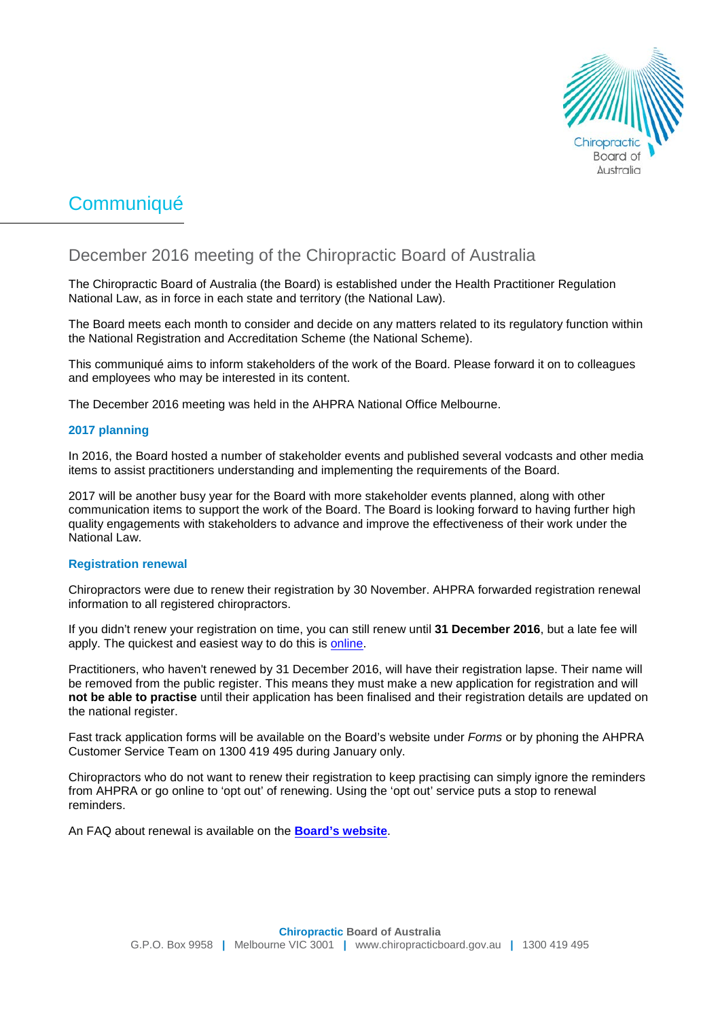

# Communiqué

## December 2016 meeting of the Chiropractic Board of Australia

The Chiropractic Board of Australia (the Board) is established under the Health Practitioner Regulation National Law, as in force in each state and territory (the National Law).

The Board meets each month to consider and decide on any matters related to its regulatory function within the National Registration and Accreditation Scheme (the National Scheme).

This communiqué aims to inform stakeholders of the work of the Board. Please forward it on to colleagues and employees who may be interested in its content.

The December 2016 meeting was held in the AHPRA National Office Melbourne.

### **2017 planning**

In 2016, the Board hosted a number of stakeholder events and published several vodcasts and other media items to assist practitioners understanding and implementing the requirements of the Board.

2017 will be another busy year for the Board with more stakeholder events planned, along with other communication items to support the work of the Board. The Board is looking forward to having further high quality engagements with stakeholders to advance and improve the effectiveness of their work under the National Law.

#### **Registration renewal**

Chiropractors were due to renew their registration by 30 November. AHPRA forwarded registration renewal information to all registered chiropractors.

If you didn't renew your registration on time, you can still renew until **31 December 2016**, but a late fee will apply. The quickest and easiest way to do this is [online.](https://www.ahpra.gov.au/Login.aspx)

Practitioners, who haven't renewed by 31 December 2016, will have their registration lapse. Their name will be removed from the public register. This means they must make a new application for registration and will **not be able to practise** until their application has been finalised and their registration details are updated on the national register.

Fast track application forms will be available on the Board's website under *Forms* or by phoning the AHPRA Customer Service Team on 1300 419 495 during January only.

Chiropractors who do not want to renew their registration to keep practising can simply ignore the reminders from AHPRA or go online to 'opt out' of renewing. Using the 'opt out' service puts a stop to renewal reminders.

An FAQ about renewal is available on the **[Board's website](http://www.chiropracticboard.gov.au/Codes-guidelines/FAQ/Registration-endorsement/Renewal.aspx)**.